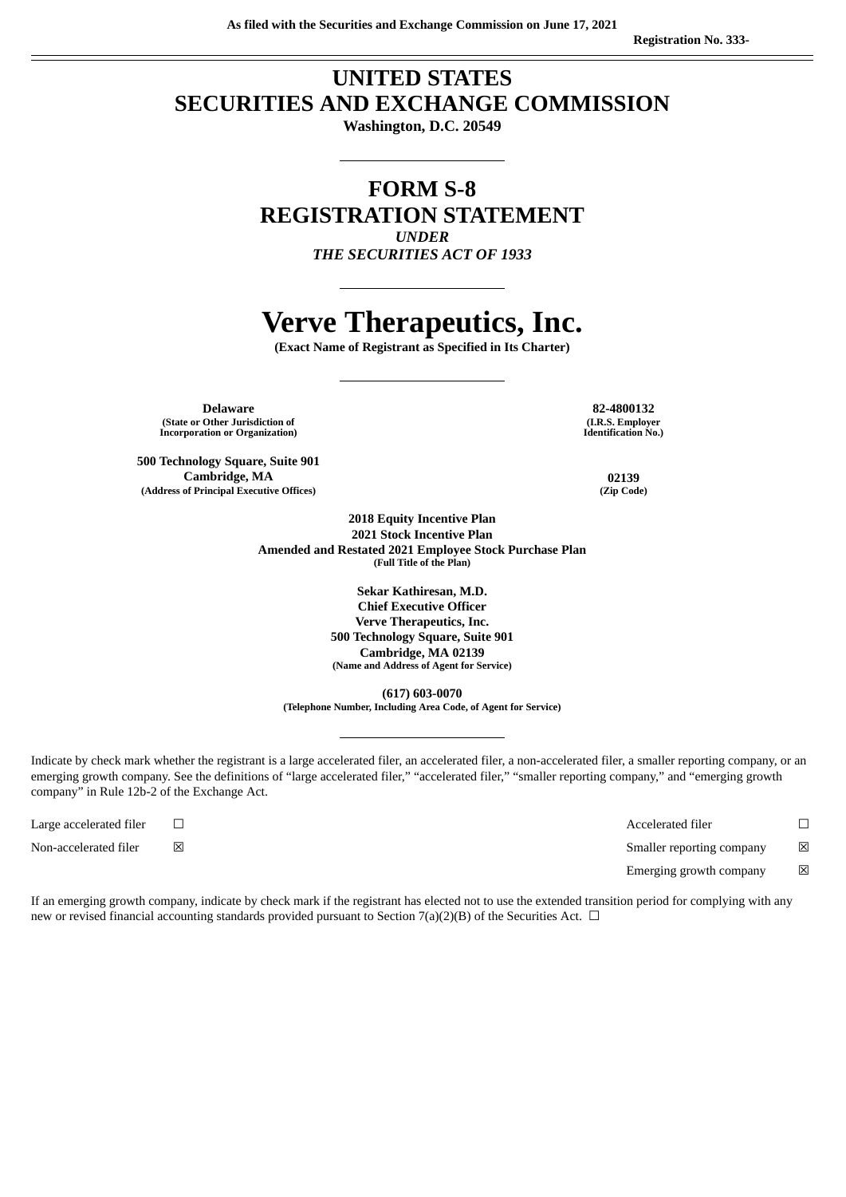### **UNITED STATES SECURITIES AND EXCHANGE COMMISSION**

**Washington, D.C. 20549**

### **FORM S-8 REGISTRATION STATEMENT** *UNDER*

*THE SECURITIES ACT OF 1933*

# **Verve Therapeutics, Inc.**

**(Exact Name of Registrant as Specified in Its Charter)**

**Delaware 82-4800132 (State or Other Jurisdiction of Incorporation or Organization)**

**500 Technology Square, Suite 901 Cambridge, MA 02139 (Address of Principal Executive Offices) (Zip Code)**

**(I.R.S. Employer Identification No.)**

**2018 Equity Incentive Plan 2021 Stock Incentive Plan Amended and Restated 2021 Employee Stock Purchase Plan (Full Title of the Plan)**

> **Sekar Kathiresan, M.D. Chief Executive Officer Verve Therapeutics, Inc. 500 Technology Square, Suite 901 Cambridge, MA 02139 (Name and Address of Agent for Service)**

**(617) 603-0070 (Telephone Number, Including Area Code, of Agent for Service)**

Indicate by check mark whether the registrant is a large accelerated filer, an accelerated filer, a non-accelerated filer, a smaller reporting company, or an emerging growth company. See the definitions of "large accelerated filer," "accelerated filer," "smaller reporting company," and "emerging growth company" in Rule 12b-2 of the Exchange Act.

Large accelerated filer ☐ Accelerated filer ☐ Non-accelerated filer **⊠** *⊠* Smaller reporting company **⊠** Emerging growth company  $\boxtimes$ 

If an emerging growth company, indicate by check mark if the registrant has elected not to use the extended transition period for complying with any new or revised financial accounting standards provided pursuant to Section 7(a)(2)(B) of the Securities Act.  $\Box$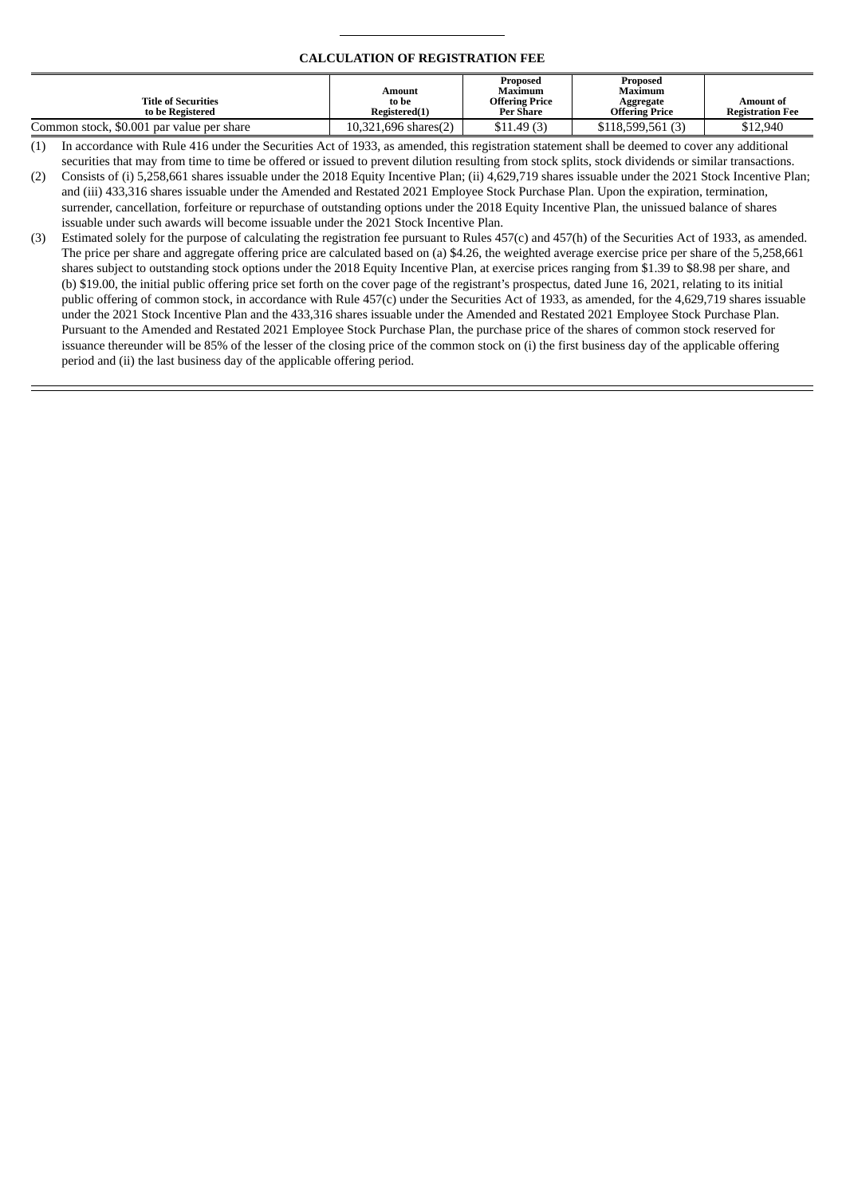#### **CALCULATION OF REGISTRATION FEE**

| <b>Title of Securities</b><br>to be Registered | Amount<br>to be<br>Registered(1) | Proposed<br>Maximum<br><b>Offering Price</b><br><b>Per Share</b> | Proposed<br>Maximum<br>Aggregate<br><b>Offering Price</b> | Amount of<br><b>Registration Fee</b> |
|------------------------------------------------|----------------------------------|------------------------------------------------------------------|-----------------------------------------------------------|--------------------------------------|
| Common stock, \$0.001 par value per share      | 10.321.696 shares(2)             | \$11.49(3)                                                       | \$118,599,561 (3)                                         | \$12,940                             |

(1) In accordance with Rule 416 under the Securities Act of 1933, as amended, this registration statement shall be deemed to cover any additional securities that may from time to time be offered or issued to prevent dilution resulting from stock splits, stock dividends or similar transactions.

(2) Consists of (i) 5,258,661 shares issuable under the 2018 Equity Incentive Plan; (ii) 4,629,719 shares issuable under the 2021 Stock Incentive Plan; and (iii) 433,316 shares issuable under the Amended and Restated 2021 Employee Stock Purchase Plan. Upon the expiration, termination, surrender, cancellation, forfeiture or repurchase of outstanding options under the 2018 Equity Incentive Plan, the unissued balance of shares issuable under such awards will become issuable under the 2021 Stock Incentive Plan.

(3) Estimated solely for the purpose of calculating the registration fee pursuant to Rules 457(c) and 457(h) of the Securities Act of 1933, as amended. The price per share and aggregate offering price are calculated based on (a) \$4.26, the weighted average exercise price per share of the 5,258,661 shares subject to outstanding stock options under the 2018 Equity Incentive Plan, at exercise prices ranging from \$1.39 to \$8.98 per share, and (b) \$19.00, the initial public offering price set forth on the cover page of the registrant's prospectus, dated June 16, 2021, relating to its initial public offering of common stock, in accordance with Rule 457(c) under the Securities Act of 1933, as amended, for the 4,629,719 shares issuable under the 2021 Stock Incentive Plan and the 433,316 shares issuable under the Amended and Restated 2021 Employee Stock Purchase Plan. Pursuant to the Amended and Restated 2021 Employee Stock Purchase Plan, the purchase price of the shares of common stock reserved for issuance thereunder will be 85% of the lesser of the closing price of the common stock on (i) the first business day of the applicable offering period and (ii) the last business day of the applicable offering period.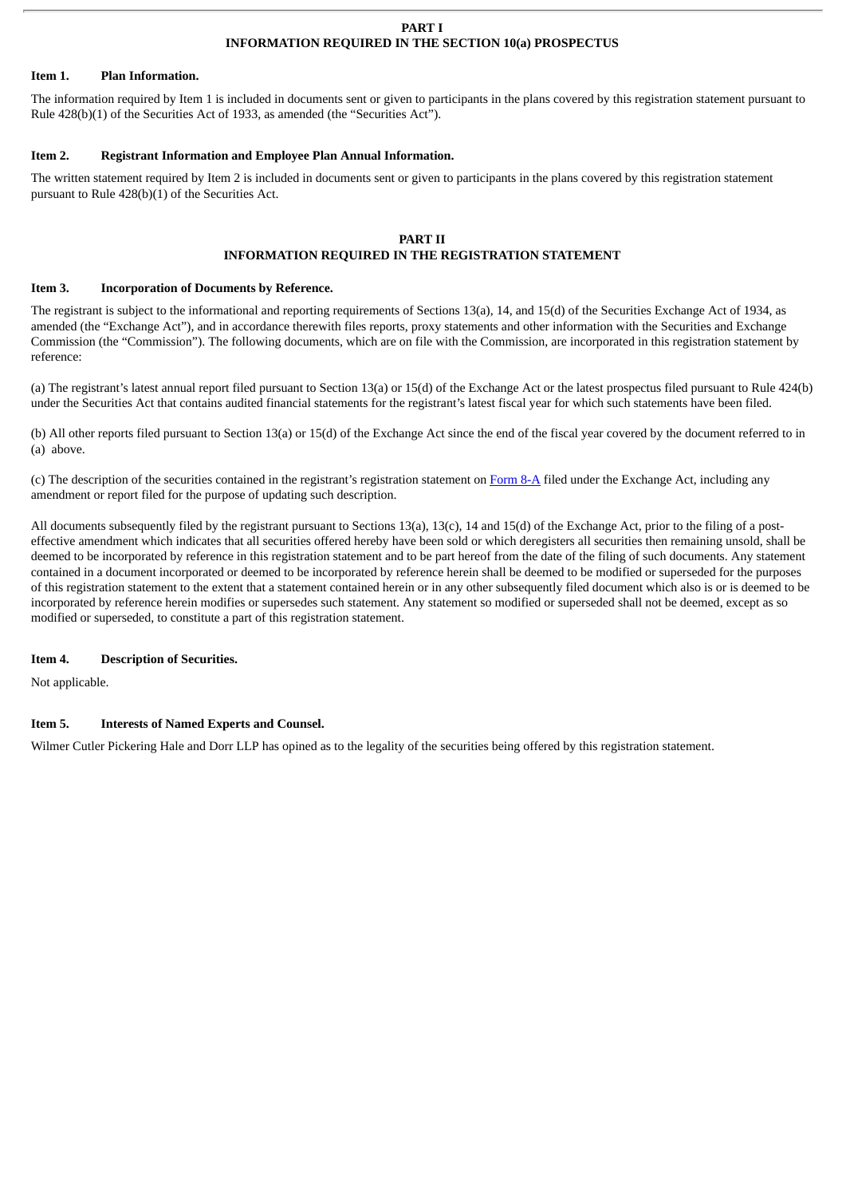#### **PART I INFORMATION REQUIRED IN THE SECTION 10(a) PROSPECTUS**

#### **Item 1. Plan Information.**

The information required by Item 1 is included in documents sent or given to participants in the plans covered by this registration statement pursuant to Rule 428(b)(1) of the Securities Act of 1933, as amended (the "Securities Act").

#### **Item 2. Registrant Information and Employee Plan Annual Information.**

The written statement required by Item 2 is included in documents sent or given to participants in the plans covered by this registration statement pursuant to Rule 428(b)(1) of the Securities Act.

#### **PART II INFORMATION REQUIRED IN THE REGISTRATION STATEMENT**

#### **Item 3. Incorporation of Documents by Reference.**

The registrant is subject to the informational and reporting requirements of Sections 13(a), 14, and 15(d) of the Securities Exchange Act of 1934, as amended (the "Exchange Act"), and in accordance therewith files reports, proxy statements and other information with the Securities and Exchange Commission (the "Commission"). The following documents, which are on file with the Commission, are incorporated in this registration statement by reference:

(a) The registrant's latest annual report filed pursuant to Section 13(a) or 15(d) of the Exchange Act or the latest prospectus filed pursuant to Rule 424(b) under the Securities Act that contains audited financial statements for the registrant's latest fiscal year for which such statements have been filed.

(b) All other reports filed pursuant to Section 13(a) or 15(d) of the Exchange Act since the end of the fiscal year covered by the document referred to in (a) above.

(c) The description of the securities contained in the registrant's registration statement on [Form](http://www.sec.gov/Archives/edgar/data/0001840574/000119312521188883/d147146d8a12b.htm) 8-A filed under the Exchange Act, including any amendment or report filed for the purpose of updating such description.

All documents subsequently filed by the registrant pursuant to Sections 13(a), 13(c), 14 and 15(d) of the Exchange Act, prior to the filing of a posteffective amendment which indicates that all securities offered hereby have been sold or which deregisters all securities then remaining unsold, shall be deemed to be incorporated by reference in this registration statement and to be part hereof from the date of the filing of such documents. Any statement contained in a document incorporated or deemed to be incorporated by reference herein shall be deemed to be modified or superseded for the purposes of this registration statement to the extent that a statement contained herein or in any other subsequently filed document which also is or is deemed to be incorporated by reference herein modifies or supersedes such statement. Any statement so modified or superseded shall not be deemed, except as so modified or superseded, to constitute a part of this registration statement.

#### **Item 4. Description of Securities.**

Not applicable.

#### **Item 5. Interests of Named Experts and Counsel.**

Wilmer Cutler Pickering Hale and Dorr LLP has opined as to the legality of the securities being offered by this registration statement.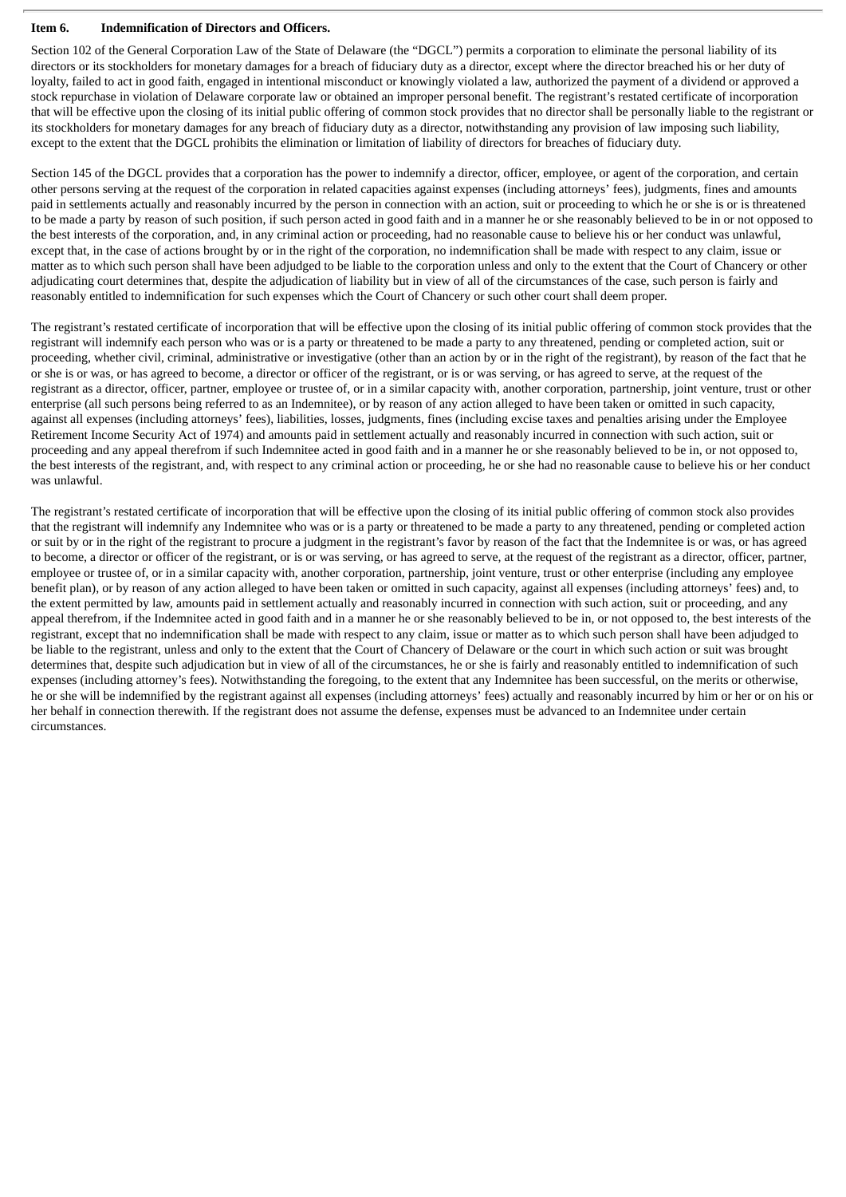#### **Item 6. Indemnification of Directors and Officers.**

Section 102 of the General Corporation Law of the State of Delaware (the "DGCL") permits a corporation to eliminate the personal liability of its directors or its stockholders for monetary damages for a breach of fiduciary duty as a director, except where the director breached his or her duty of loyalty, failed to act in good faith, engaged in intentional misconduct or knowingly violated a law, authorized the payment of a dividend or approved a stock repurchase in violation of Delaware corporate law or obtained an improper personal benefit. The registrant's restated certificate of incorporation that will be effective upon the closing of its initial public offering of common stock provides that no director shall be personally liable to the registrant or its stockholders for monetary damages for any breach of fiduciary duty as a director, notwithstanding any provision of law imposing such liability, except to the extent that the DGCL prohibits the elimination or limitation of liability of directors for breaches of fiduciary duty.

Section 145 of the DGCL provides that a corporation has the power to indemnify a director, officer, employee, or agent of the corporation, and certain other persons serving at the request of the corporation in related capacities against expenses (including attorneys' fees), judgments, fines and amounts paid in settlements actually and reasonably incurred by the person in connection with an action, suit or proceeding to which he or she is or is threatened to be made a party by reason of such position, if such person acted in good faith and in a manner he or she reasonably believed to be in or not opposed to the best interests of the corporation, and, in any criminal action or proceeding, had no reasonable cause to believe his or her conduct was unlawful, except that, in the case of actions brought by or in the right of the corporation, no indemnification shall be made with respect to any claim, issue or matter as to which such person shall have been adjudged to be liable to the corporation unless and only to the extent that the Court of Chancery or other adjudicating court determines that, despite the adjudication of liability but in view of all of the circumstances of the case, such person is fairly and reasonably entitled to indemnification for such expenses which the Court of Chancery or such other court shall deem proper.

The registrant's restated certificate of incorporation that will be effective upon the closing of its initial public offering of common stock provides that the registrant will indemnify each person who was or is a party or threatened to be made a party to any threatened, pending or completed action, suit or proceeding, whether civil, criminal, administrative or investigative (other than an action by or in the right of the registrant), by reason of the fact that he or she is or was, or has agreed to become, a director or officer of the registrant, or is or was serving, or has agreed to serve, at the request of the registrant as a director, officer, partner, employee or trustee of, or in a similar capacity with, another corporation, partnership, joint venture, trust or other enterprise (all such persons being referred to as an Indemnitee), or by reason of any action alleged to have been taken or omitted in such capacity, against all expenses (including attorneys' fees), liabilities, losses, judgments, fines (including excise taxes and penalties arising under the Employee Retirement Income Security Act of 1974) and amounts paid in settlement actually and reasonably incurred in connection with such action, suit or proceeding and any appeal therefrom if such Indemnitee acted in good faith and in a manner he or she reasonably believed to be in, or not opposed to, the best interests of the registrant, and, with respect to any criminal action or proceeding, he or she had no reasonable cause to believe his or her conduct was unlawful.

The registrant's restated certificate of incorporation that will be effective upon the closing of its initial public offering of common stock also provides that the registrant will indemnify any Indemnitee who was or is a party or threatened to be made a party to any threatened, pending or completed action or suit by or in the right of the registrant to procure a judgment in the registrant's favor by reason of the fact that the Indemnitee is or was, or has agreed to become, a director or officer of the registrant, or is or was serving, or has agreed to serve, at the request of the registrant as a director, officer, partner, employee or trustee of, or in a similar capacity with, another corporation, partnership, joint venture, trust or other enterprise (including any employee benefit plan), or by reason of any action alleged to have been taken or omitted in such capacity, against all expenses (including attorneys' fees) and, to the extent permitted by law, amounts paid in settlement actually and reasonably incurred in connection with such action, suit or proceeding, and any appeal therefrom, if the Indemnitee acted in good faith and in a manner he or she reasonably believed to be in, or not opposed to, the best interests of the registrant, except that no indemnification shall be made with respect to any claim, issue or matter as to which such person shall have been adjudged to be liable to the registrant, unless and only to the extent that the Court of Chancery of Delaware or the court in which such action or suit was brought determines that, despite such adjudication but in view of all of the circumstances, he or she is fairly and reasonably entitled to indemnification of such expenses (including attorney's fees). Notwithstanding the foregoing, to the extent that any Indemnitee has been successful, on the merits or otherwise, he or she will be indemnified by the registrant against all expenses (including attorneys' fees) actually and reasonably incurred by him or her or on his or her behalf in connection therewith. If the registrant does not assume the defense, expenses must be advanced to an Indemnitee under certain circumstances.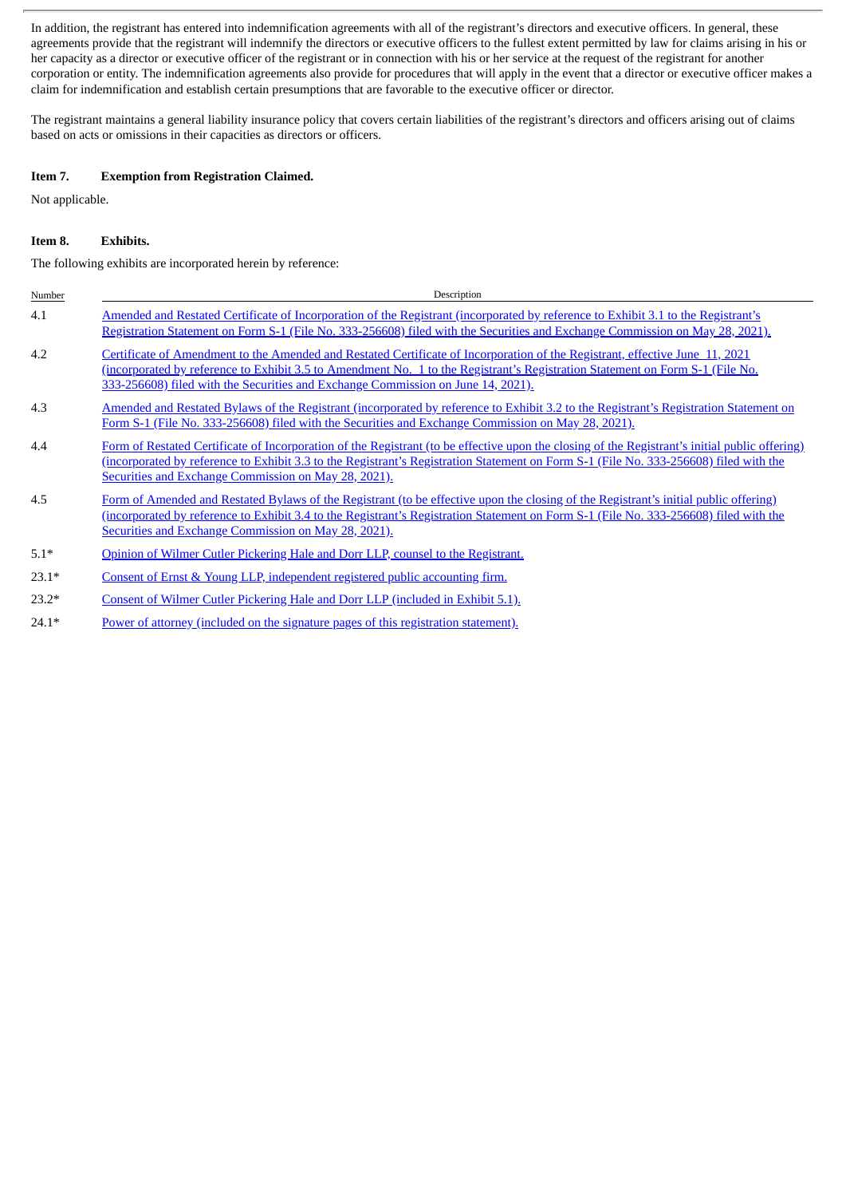In addition, the registrant has entered into indemnification agreements with all of the registrant's directors and executive officers. In general, these agreements provide that the registrant will indemnify the directors or executive officers to the fullest extent permitted by law for claims arising in his or her capacity as a director or executive officer of the registrant or in connection with his or her service at the request of the registrant for another corporation or entity. The indemnification agreements also provide for procedures that will apply in the event that a director or executive officer makes a claim for indemnification and establish certain presumptions that are favorable to the executive officer or director.

The registrant maintains a general liability insurance policy that covers certain liabilities of the registrant's directors and officers arising out of claims based on acts or omissions in their capacities as directors or officers.

#### **Item 7. Exemption from Registration Claimed.**

Not applicable.

#### **Item 8. Exhibits.**

The following exhibits are incorporated herein by reference:

| Number  | Description                                                                                                                                                                                                                                                                                                                                       |
|---------|---------------------------------------------------------------------------------------------------------------------------------------------------------------------------------------------------------------------------------------------------------------------------------------------------------------------------------------------------|
| 4.1     | Amended and Restated Certificate of Incorporation of the Registrant (incorporated by reference to Exhibit 3.1 to the Registrant's<br>Registration Statement on Form S-1 (File No. 333-256608) filed with the Securities and Exchange Commission on May 28, 2021).                                                                                 |
| 4.2     | Certificate of Amendment to the Amended and Restated Certificate of Incorporation of the Registrant, effective June 11, 2021<br>(incorporated by reference to Exhibit 3.5 to Amendment No. 1 to the Registrant's Registration Statement on Form S-1 (File No.<br>333-256608) filed with the Securities and Exchange Commission on June 14, 2021). |
| 4.3     | Amended and Restated Bylaws of the Registrant (incorporated by reference to Exhibit 3.2 to the Registrant's Registration Statement on<br>Form S-1 (File No. 333-256608) filed with the Securities and Exchange Commission on May 28, 2021).                                                                                                       |
| 4.4     | Form of Restated Certificate of Incorporation of the Registrant (to be effective upon the closing of the Registrant's initial public offering)<br>(incorporated by reference to Exhibit 3.3 to the Registrant's Registration Statement on Form S-1 (File No. 333-256608) filed with the<br>Securities and Exchange Commission on May 28, 2021).   |
| 4.5     | Form of Amended and Restated Bylaws of the Registrant (to be effective upon the closing of the Registrant's initial public offering)<br>(incorporated by reference to Exhibit 3.4 to the Registrant's Registration Statement on Form S-1 (File No. 333-256608) filed with the<br>Securities and Exchange Commission on May 28, 2021).             |
| $5.1*$  | Opinion of Wilmer Cutler Pickering Hale and Dorr LLP, counsel to the Registrant.                                                                                                                                                                                                                                                                  |
| $23.1*$ | Consent of Ernst & Young LLP, independent registered public accounting firm.                                                                                                                                                                                                                                                                      |
| $23.2*$ | Consent of Wilmer Cutler Pickering Hale and Dorr LLP (included in Exhibit 5.1).                                                                                                                                                                                                                                                                   |

24.1\* Power of attorney (included on the signature pages of this [registration](#page-6-0) statement).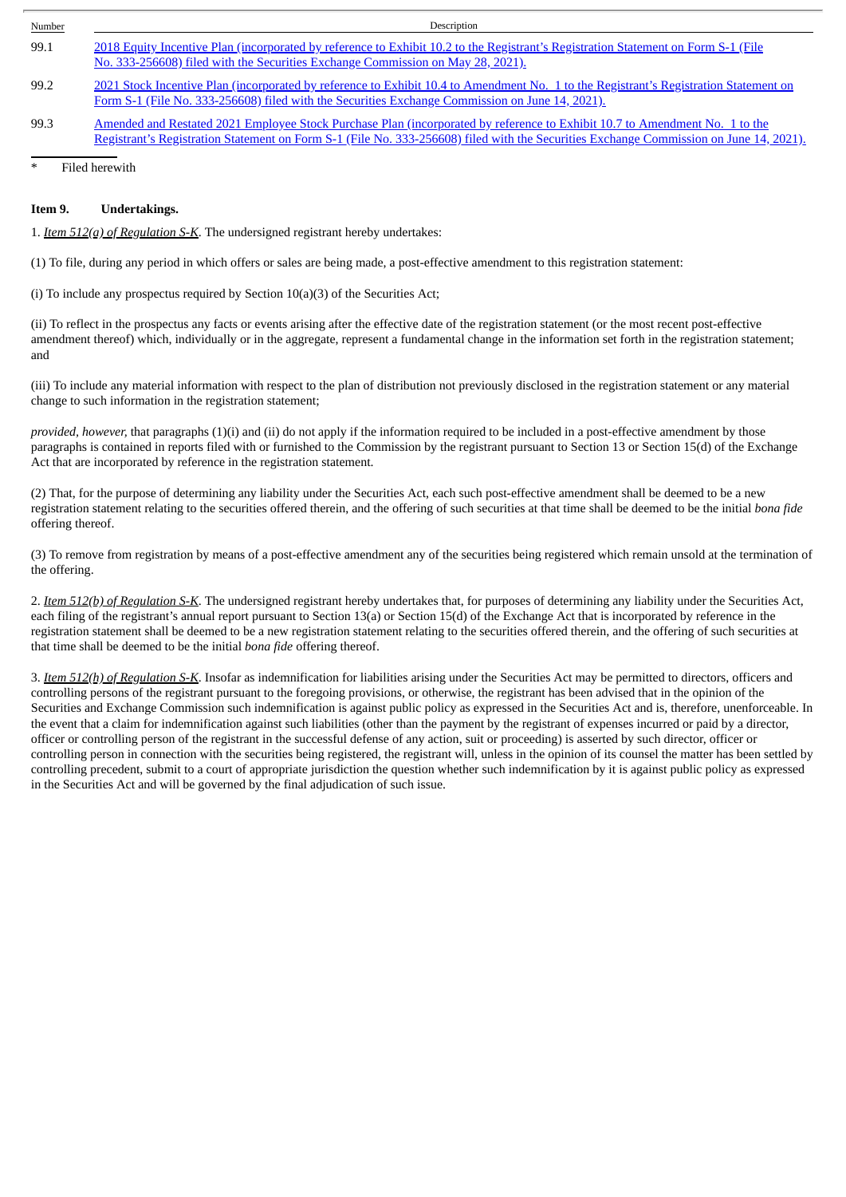| Number | Description                                                                                                                                                                                                                                                           |
|--------|-----------------------------------------------------------------------------------------------------------------------------------------------------------------------------------------------------------------------------------------------------------------------|
| 99.1   | 2018 Equity Incentive Plan (incorporated by reference to Exhibit 10.2 to the Registrant's Registration Statement on Form S-1 (File<br>No. 333-256608) filed with the Securities Exchange Commission on May 28, 2021).                                                 |
| 99.2   | 2021 Stock Incentive Plan (incorporated by reference to Exhibit 10.4 to Amendment No. 1 to the Registrant's Registration Statement on<br>Form S-1 (File No. 333-256608) filed with the Securities Exchange Commission on June 14, 2021).                              |
| 99.3   | Amended and Restated 2021 Employee Stock Purchase Plan (incorporated by reference to Exhibit 10.7 to Amendment No. 1 to the<br>Registrant's Registration Statement on Form S-1 (File No. 333-256608) filed with the Securities Exchange Commission on June 14, 2021). |

Filed herewith

#### **Item 9. Undertakings.**

1. *Item 512(a) of Regulation S-K*. The undersigned registrant hereby undertakes:

(1) To file, during any period in which offers or sales are being made, a post-effective amendment to this registration statement:

(i) To include any prospectus required by Section  $10(a)(3)$  of the Securities Act;

(ii) To reflect in the prospectus any facts or events arising after the effective date of the registration statement (or the most recent post-effective amendment thereof) which, individually or in the aggregate, represent a fundamental change in the information set forth in the registration statement; and

(iii) To include any material information with respect to the plan of distribution not previously disclosed in the registration statement or any material change to such information in the registration statement;

*provided, however,* that paragraphs (1)(i) and (ii) do not apply if the information required to be included in a post-effective amendment by those paragraphs is contained in reports filed with or furnished to the Commission by the registrant pursuant to Section 13 or Section 15(d) of the Exchange Act that are incorporated by reference in the registration statement.

(2) That, for the purpose of determining any liability under the Securities Act, each such post-effective amendment shall be deemed to be a new registration statement relating to the securities offered therein, and the offering of such securities at that time shall be deemed to be the initial *bona fide* offering thereof.

(3) To remove from registration by means of a post-effective amendment any of the securities being registered which remain unsold at the termination of the offering.

2. *Item 512(b) of Regulation S-K*. The undersigned registrant hereby undertakes that, for purposes of determining any liability under the Securities Act, each filing of the registrant's annual report pursuant to Section 13(a) or Section 15(d) of the Exchange Act that is incorporated by reference in the registration statement shall be deemed to be a new registration statement relating to the securities offered therein, and the offering of such securities at that time shall be deemed to be the initial *bona fide* offering thereof.

3. *Item 512(h) of Regulation S-K*. Insofar as indemnification for liabilities arising under the Securities Act may be permitted to directors, officers and controlling persons of the registrant pursuant to the foregoing provisions, or otherwise, the registrant has been advised that in the opinion of the Securities and Exchange Commission such indemnification is against public policy as expressed in the Securities Act and is, therefore, unenforceable. In the event that a claim for indemnification against such liabilities (other than the payment by the registrant of expenses incurred or paid by a director, officer or controlling person of the registrant in the successful defense of any action, suit or proceeding) is asserted by such director, officer or controlling person in connection with the securities being registered, the registrant will, unless in the opinion of its counsel the matter has been settled by controlling precedent, submit to a court of appropriate jurisdiction the question whether such indemnification by it is against public policy as expressed in the Securities Act and will be governed by the final adjudication of such issue.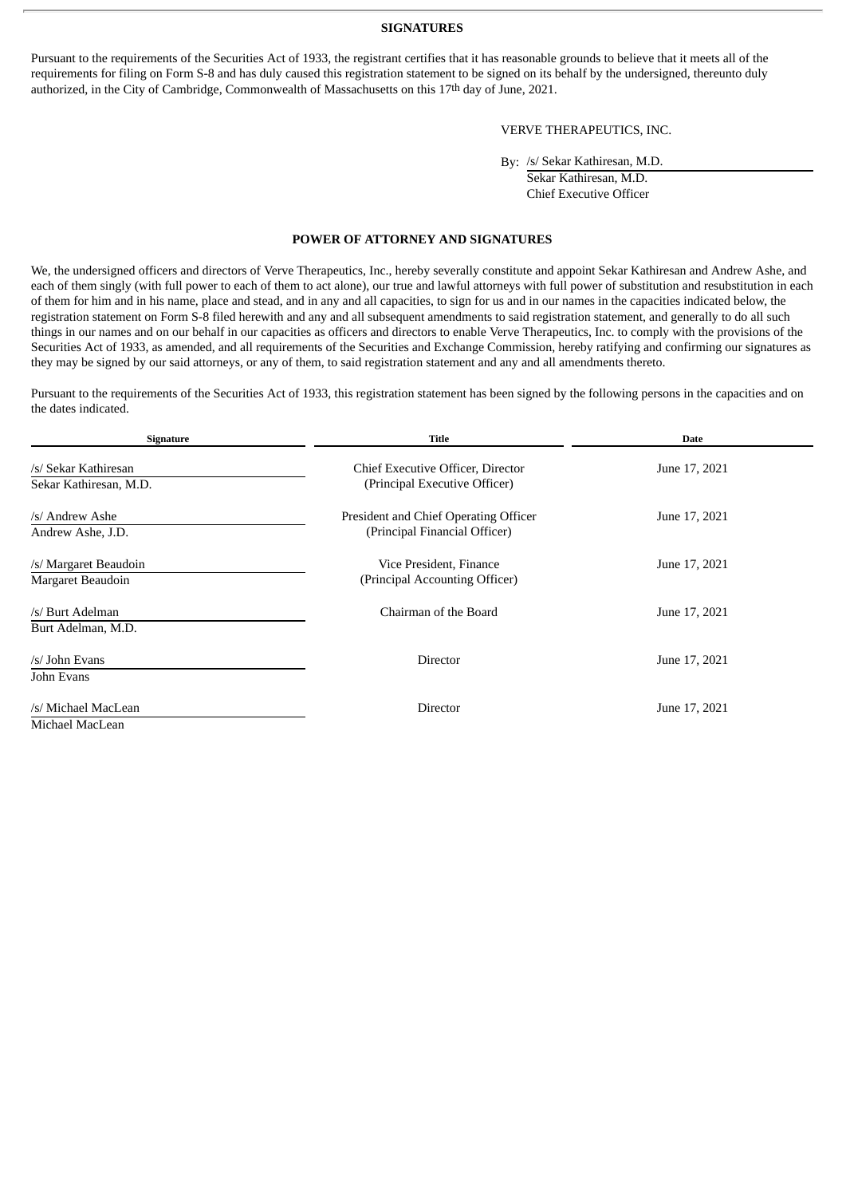#### **SIGNATURES**

Pursuant to the requirements of the Securities Act of 1933, the registrant certifies that it has reasonable grounds to believe that it meets all of the requirements for filing on Form S-8 and has duly caused this registration statement to be signed on its behalf by the undersigned, thereunto duly authorized, in the City of Cambridge, Commonwealth of Massachusetts on this 17th day of June, 2021.

#### VERVE THERAPEUTICS, INC.

By: /s/ Sekar Kathiresan, M.D.

Sekar Kathiresan, M.D. Chief Executive Officer

#### **POWER OF ATTORNEY AND SIGNATURES**

<span id="page-6-0"></span>We, the undersigned officers and directors of Verve Therapeutics, Inc., hereby severally constitute and appoint Sekar Kathiresan and Andrew Ashe, and each of them singly (with full power to each of them to act alone), our true and lawful attorneys with full power of substitution and resubstitution in each of them for him and in his name, place and stead, and in any and all capacities, to sign for us and in our names in the capacities indicated below, the registration statement on Form S-8 filed herewith and any and all subsequent amendments to said registration statement, and generally to do all such things in our names and on our behalf in our capacities as officers and directors to enable Verve Therapeutics, Inc. to comply with the provisions of the Securities Act of 1933, as amended, and all requirements of the Securities and Exchange Commission, hereby ratifying and confirming our signatures as they may be signed by our said attorneys, or any of them, to said registration statement and any and all amendments thereto.

Pursuant to the requirements of the Securities Act of 1933, this registration statement has been signed by the following persons in the capacities and on the dates indicated.

| Signature                                      | <b>Title</b>                                                           | Date          |
|------------------------------------------------|------------------------------------------------------------------------|---------------|
| /s/ Sekar Kathiresan<br>Sekar Kathiresan, M.D. | Chief Executive Officer, Director<br>(Principal Executive Officer)     | June 17, 2021 |
| /s/ Andrew Ashe<br>Andrew Ashe, J.D.           | President and Chief Operating Officer<br>(Principal Financial Officer) | June 17, 2021 |
| /s/ Margaret Beaudoin<br>Margaret Beaudoin     | Vice President, Finance<br>(Principal Accounting Officer)              | June 17, 2021 |
| /s/ Burt Adelman<br>Burt Adelman, M.D.         | Chairman of the Board                                                  | June 17, 2021 |
| /s/ John Evans<br>John Evans                   | Director                                                               | June 17, 2021 |
| /s/ Michael MacLean<br>Michael MacLean         | Director                                                               | June 17, 2021 |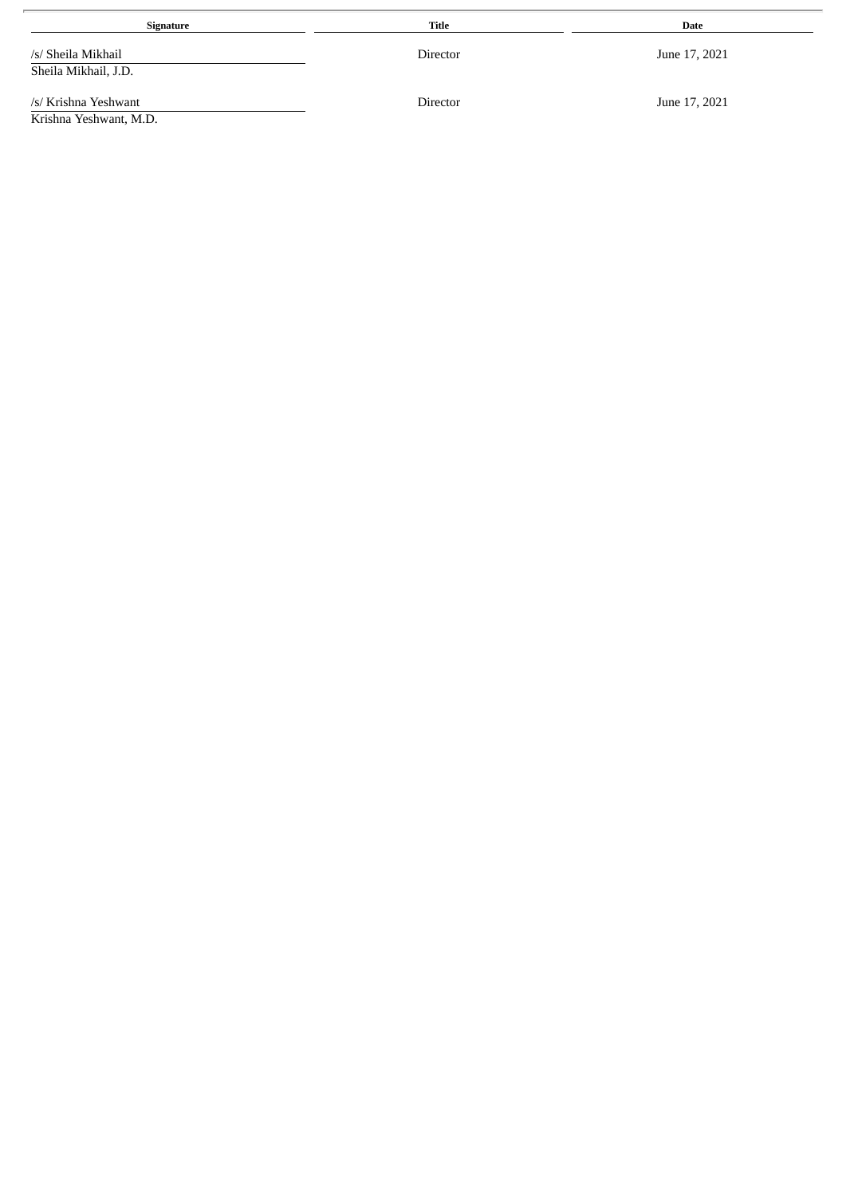| Signature                                      | Title    | Date          |
|------------------------------------------------|----------|---------------|
| /s/ Sheila Mikhail<br>Sheila Mikhail, J.D.     | Director | June 17, 2021 |
| /s/ Krishna Yeshwant<br>Krishna Yeshwant, M.D. | Director | June 17, 2021 |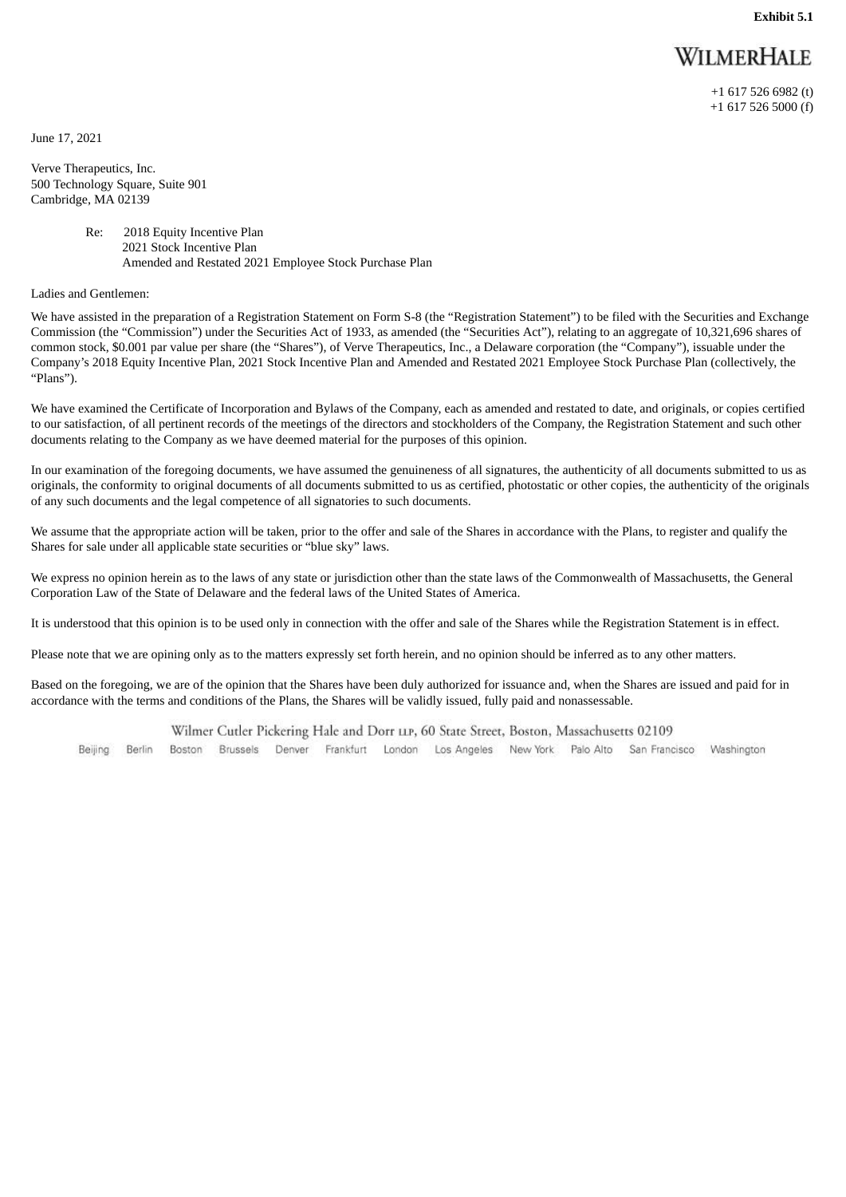**Exhibit 5.1**

## **WILMERHALE**

+1 617 526 6982 (t) +1 617 526 5000 (f)

<span id="page-8-0"></span>June 17, 2021

Verve Therapeutics, Inc. 500 Technology Square, Suite 901 Cambridge, MA 02139

> Re: 2018 Equity Incentive Plan 2021 Stock Incentive Plan Amended and Restated 2021 Employee Stock Purchase Plan

Ladies and Gentlemen:

We have assisted in the preparation of a Registration Statement on Form S-8 (the "Registration Statement") to be filed with the Securities and Exchange Commission (the "Commission") under the Securities Act of 1933, as amended (the "Securities Act"), relating to an aggregate of 10,321,696 shares of common stock, \$0.001 par value per share (the "Shares"), of Verve Therapeutics, Inc., a Delaware corporation (the "Company"), issuable under the Company's 2018 Equity Incentive Plan, 2021 Stock Incentive Plan and Amended and Restated 2021 Employee Stock Purchase Plan (collectively, the "Plans").

We have examined the Certificate of Incorporation and Bylaws of the Company, each as amended and restated to date, and originals, or copies certified to our satisfaction, of all pertinent records of the meetings of the directors and stockholders of the Company, the Registration Statement and such other documents relating to the Company as we have deemed material for the purposes of this opinion.

In our examination of the foregoing documents, we have assumed the genuineness of all signatures, the authenticity of all documents submitted to us as originals, the conformity to original documents of all documents submitted to us as certified, photostatic or other copies, the authenticity of the originals of any such documents and the legal competence of all signatories to such documents.

We assume that the appropriate action will be taken, prior to the offer and sale of the Shares in accordance with the Plans, to register and qualify the Shares for sale under all applicable state securities or "blue sky" laws.

We express no opinion herein as to the laws of any state or jurisdiction other than the state laws of the Commonwealth of Massachusetts, the General Corporation Law of the State of Delaware and the federal laws of the United States of America.

It is understood that this opinion is to be used only in connection with the offer and sale of the Shares while the Registration Statement is in effect.

Please note that we are opining only as to the matters expressly set forth herein, and no opinion should be inferred as to any other matters.

Based on the foregoing, we are of the opinion that the Shares have been duly authorized for issuance and, when the Shares are issued and paid for in accordance with the terms and conditions of the Plans, the Shares will be validly issued, fully paid and nonassessable.

Wilmer Cutler Pickering Hale and Dorr LIP, 60 State Street, Boston, Massachusetts 02109

Boston Brussels Denver Frankfurt London Los Angeles New York Palo Alto San Francisco Washington Beijing Berlin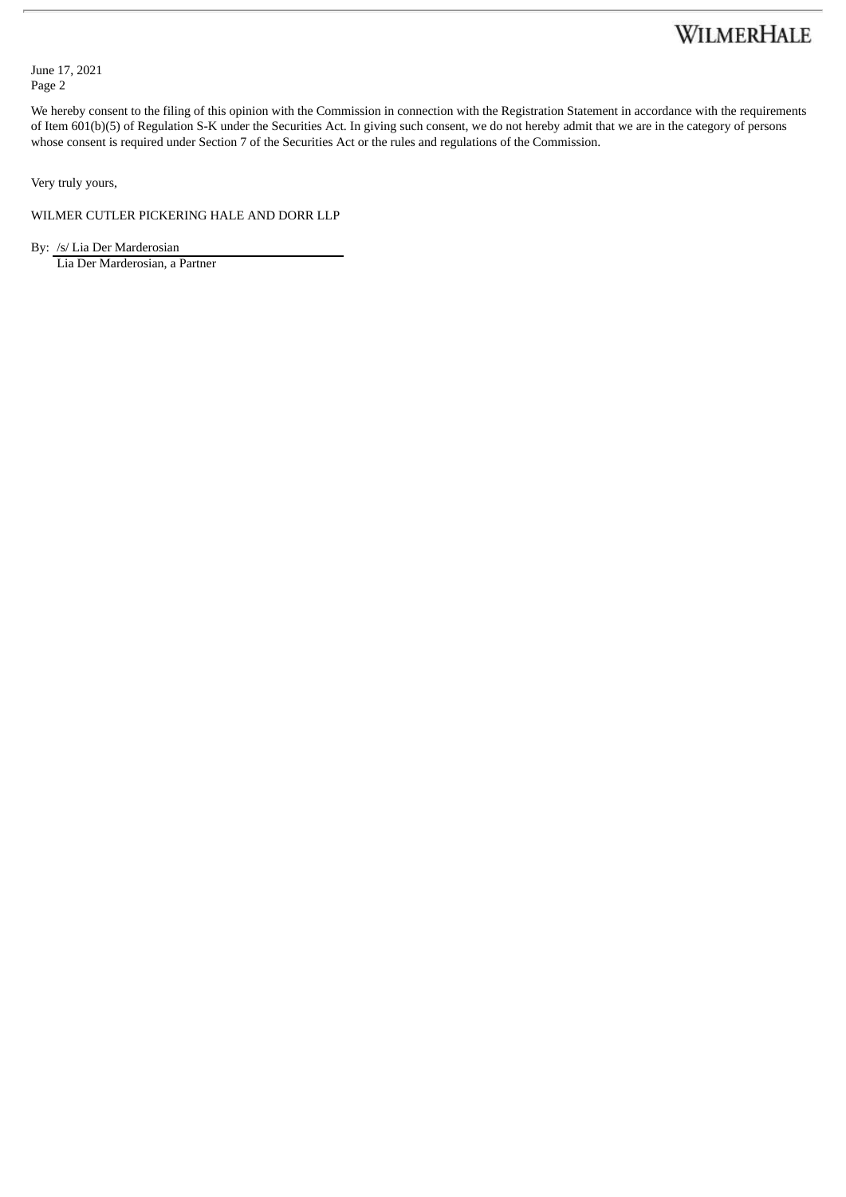## WILMERHALE

June 17, 2021 Page 2

We hereby consent to the filing of this opinion with the Commission in connection with the Registration Statement in accordance with the requirements of Item 601(b)(5) of Regulation S-K under the Securities Act. In giving such consent, we do not hereby admit that we are in the category of persons whose consent is required under Section 7 of the Securities Act or the rules and regulations of the Commission.

Very truly yours,

WILMER CUTLER PICKERING HALE AND DORR LLP

By: /s/ Lia Der Marderosian

Lia Der Marderosian, a Partner